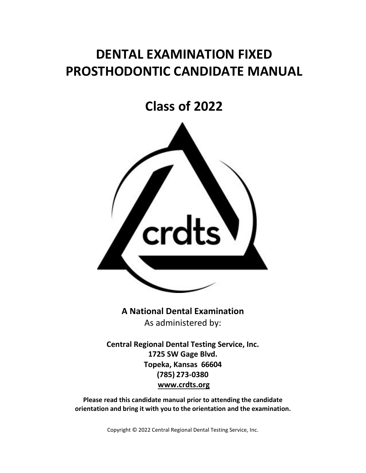# **DENTAL EXAMINATION FIXED PROSTHODONTIC CANDIDATE MANUAL**

**Class of 2022**



**A National Dental Examination** As administered by:

**Central Regional Dental Testing Service, Inc. 1725 SW Gage Blvd. Topeka, Kansas 66604 (785) 273-0380 [www.crdts.org](http://www.srta.org/)**

**Please read this candidate manual prior to attending the candidate orientation and bring it with you to the orientation and the examination.**

Copyright © 2022 Central Regional Dental Testing Service, Inc.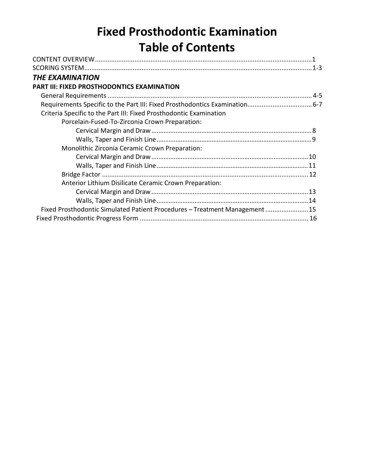# **Fixed Prosthodontic Examination Table of Contents**

| <b>THE EXAMINATION</b>                                                     |  |
|----------------------------------------------------------------------------|--|
| PART III: FIXED PROSTHODONTICS EXAMINATION                                 |  |
|                                                                            |  |
|                                                                            |  |
| Criteria Specific to the Part III: Fixed Prosthodontic Examination         |  |
| Porcelain-Fused-To-Zirconia Crown Preparation:                             |  |
|                                                                            |  |
|                                                                            |  |
| Monolithic Zirconia Ceramic Crown Preparation:                             |  |
|                                                                            |  |
|                                                                            |  |
|                                                                            |  |
| Anterior Lithium Disilicate Ceramic Crown Preparation:                     |  |
|                                                                            |  |
|                                                                            |  |
| Fixed Prosthodontic Simulated Patient Procedures - Treatment Management 15 |  |
|                                                                            |  |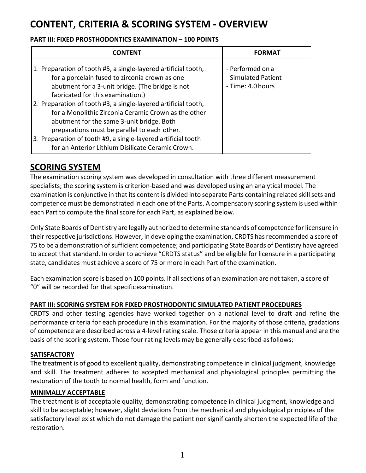## **CONTENT, CRITERIA & SCORING SYSTEM - OVERVIEW**

#### **PART III: FIXED PROSTHODONTICS EXAMINATION – 100 POINTS**

| <b>CONTENT</b>                                                                                                                                                                                                                                                                       | <b>FORMAT</b>                                                     |
|--------------------------------------------------------------------------------------------------------------------------------------------------------------------------------------------------------------------------------------------------------------------------------------|-------------------------------------------------------------------|
| 1. Preparation of tooth #5, a single-layered artificial tooth,<br>for a porcelain fused to zirconia crown as one<br>abutment for a 3-unit bridge. (The bridge is not<br>fabricated for this examination.)                                                                            | - Performed on a<br><b>Simulated Patient</b><br>- Time: 4.0 hours |
| 2. Preparation of tooth #3, a single-layered artificial tooth,<br>for a Monolithic Zirconia Ceramic Crown as the other<br>abutment for the same 3-unit bridge. Both<br>preparations must be parallel to each other.<br>3. Preparation of tooth #9, a single-layered artificial tooth |                                                                   |
| for an Anterior Lithium Disilicate Ceramic Crown.                                                                                                                                                                                                                                    |                                                                   |

## <span id="page-2-0"></span>**SCORING SYSTEM**

The examination scoring system was developed in consultation with three different measurement specialists; the scoring system is criterion-based and was developed using an analytical model. The examination is conjunctive in that its content is divided into separate Parts containing related skillsets and competence must be demonstrated in each one of the Parts. A compensatory scoring system is used within each Part to compute the final score for each Part, as explained below.

Only State Boards of Dentistry are legally authorized to determine standards of competence forlicensure in their respective jurisdictions. However, in developing the examination, CRDTS has recommended a score of 75 to be a demonstration ofsufficient competence; and participating State Boards of Dentistry have agreed to accept that standard. In order to achieve "CRDTS status" and be eligible for licensure in a participating state, candidates must achieve a score of 75 or more in each Part of the examination.

Each examination score is based on 100 points. If allsections of an examination are not taken, a score of "0" will be recorded for that specificexamination.

#### **PART III: SCORING SYSTEM FOR FIXED PROSTHODONTIC SIMULATED PATIENT PROCEDURES**

CRDTS and other testing agencies have worked together on a national level to draft and refine the performance criteria for each procedure in this examination. For the majority of those criteria, gradations of competence are described across a 4-level rating scale. Those criteria appear in this manual and are the basis of the scoring system. Those four rating levels may be generally described asfollows:

#### **SATISFACTORY**

The treatment is of good to excellent quality, demonstrating competence in clinical judgment, knowledge and skill. The treatment adheres to accepted mechanical and physiological principles permitting the restoration of the tooth to normal health, form and function.

#### **MINIMALLY ACCEPTABLE**

The treatment is of acceptable quality, demonstrating competence in clinical judgment, knowledge and skill to be acceptable; however, slight deviations from the mechanical and physiological principles of the satisfactory level exist which do not damage the patient nor significantly shorten the expected life of the restoration.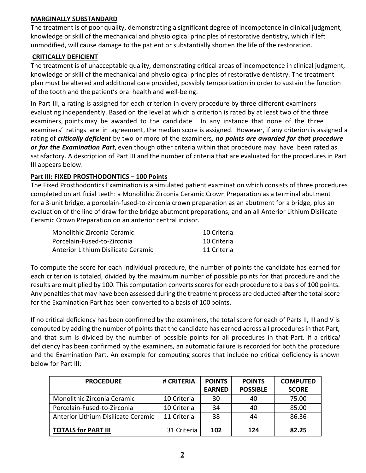#### **MARGINALLY SUBSTANDARD**

The treatment is of poor quality, demonstrating a significant degree of incompetence in clinical judgment, knowledge or skill of the mechanical and physiological principles of restorative dentistry, which if left unmodified, will cause damage to the patient or substantially shorten the life of the restoration.

#### **CRITICALLY DEFICIENT**

The treatment is of unacceptable quality, demonstrating critical areas of incompetence in clinical judgment, knowledge or skill of the mechanical and physiological principles of restorative dentistry. The treatment plan must be altered and additional care provided, possibly temporization in order to sustain the function of the tooth and the patient's oral health and well-being.

In Part III, a rating is assigned for each criterion in every procedure by three different examiners evaluating independently. Based on the level at which a criterion is rated by at least two of the three examiners, points may be awarded to the candidate. In any instance that none of the three examiners' ratings are in agreement, the median score is assigned. However, if any criterion is assigned a rating of *critically deficient* by two or more of the examiners*, no points are awarded for that procedure or for the Examination Part*, even though other criteria within that procedure may have been rated as satisfactory. A description of Part III and the number of criteria that are evaluated for the procedures in Part III appears below:

#### **Part III: FIXED PROSTHODONTICS – 100 Points**

The Fixed Prosthodontics Examination is a simulated patient examination which consists of three procedures completed on artificial teeth: a Monolithic Zirconia Ceramic Crown Preparation as a terminal abutment for a 3-unit bridge, a porcelain-fused-to-zirconia crown preparation as an abutment for a bridge, plus an evaluation of the line of draw for the bridge abutment preparations, and an all Anterior Lithium Disilicate Ceramic Crown Preparation on an anterior central incisor.

| Monolithic Zirconia Ceramic         | 10 Criteria |
|-------------------------------------|-------------|
| Porcelain-Fused-to-Zirconia         | 10 Criteria |
| Anterior Lithium Disilicate Ceramic | 11 Criteria |

To compute the score for each individual procedure, the number of points the candidate has earned for each criterion is totaled, divided by the maximum number of possible points for that procedure and the results are multiplied by 100. This computation converts scoresfor each procedure to a basis of 100 points. Any penalties that may have been assessed during the treatment process are deducted **after** the total score for the Examination Part has been converted to a basis of 100 points.

If no critical deficiency has been confirmed by the examiners, the total score for each of Parts II, III and V is computed by adding the number of points that the candidate has earned across all procedures in that Part, and that sum is divided by the number of possible points for all procedures in that Part. If a critica*l*  deficiency has been confirmed by the examiners, an automatic failure is recorded for both the procedure and the Examination Part. An example for computing scores that include no critical deficiency is shown below for Part III:

| <b>PROCEDURE</b>                    | # CRITERIA  | <b>POINTS</b> | <b>POINTS</b>   | <b>COMPUTED</b> |
|-------------------------------------|-------------|---------------|-----------------|-----------------|
|                                     |             | <b>EARNED</b> | <b>POSSIBLE</b> | <b>SCORE</b>    |
| Monolithic Zirconia Ceramic         | 10 Criteria | 30            | 40              | 75.00           |
| Porcelain-Fused-to-Zirconia         | 10 Criteria | 34            | 40              | 85.00           |
| Anterior Lithium Disilicate Ceramic | 11 Criteria | 38            | 44              | 86.36           |
| <b>TOTALS for PART III</b>          | 31 Criteria | 102           | 124             | 82.25           |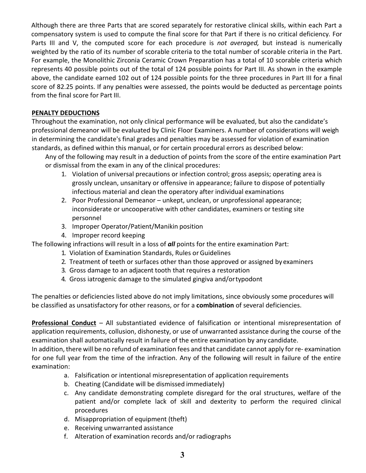Although there are three Parts that are scored separately for restorative clinical skills, within each Part a compensatory system is used to compute the final score for that Part if there is no critical deficiency*.* For Parts III and V, the computed score for each procedure is *not averaged,* but instead is numerically weighted by the ratio of its number of scorable criteria to the total number of scorable criteria in the Part. For example, the Monolithic Zirconia Ceramic Crown Preparation has a total of 10 scorable criteria which represents 40 possible points out of the total of 124 possible points for Part III. As shown in the example above, the candidate earned 102 out of 124 possible points for the three procedures in Part III for a final score of 82.25 points. If any penalties were assessed, the points would be deducted as percentage points from the final score for Part III.

#### **PENALTY DEDUCTIONS**

Throughout the examination, not only clinical performance will be evaluated, but also the candidate's professional demeanor will be evaluated by Clinic Floor Examiners. A number of considerations will weigh in determining the candidate's final grades and penalties may be assessed for violation of examination standards, as defined within this manual, or for certain procedural errors as described below:

Any of the following may result in a deduction of points from the score of the entire examination Part or dismissal from the exam in any of the clinical procedures:

- 1. Violation of universal precautions or infection control; gross asepsis; operating area is grossly unclean, unsanitary or offensive in appearance; failure to dispose of potentially infectious material and clean the operatory after individual examinations
- 2. Poor Professional Demeanor unkept, unclean, or unprofessional appearance; inconsiderate or uncooperative with other candidates, examiners or testing site personnel
- 3. Improper Operator/Patient/Manikin position
- 4. Improper record keeping

The following infractions will result in a loss of *all* points for the entire examination Part:

- 1. Violation of Examination Standards, Rules or Guidelines
- 2. Treatment of teeth or surfaces other than those approved or assigned by examiners
- 3. Gross damage to an adjacent tooth that requires a restoration
- 4. Gross iatrogenic damage to the simulated gingiva and/ortypodont

The penalties or deficiencies listed above do not imply limitations, since obviously some procedures will be classified as unsatisfactory for other reasons, or for a **combination** of several deficiencies.

**Professional Conduct** – All substantiated evidence of falsification or intentional misrepresentation of application requirements, collusion, dishonesty, or use of unwarranted assistance during the course of the examination shall automatically result in failure of the entire examination by any candidate.

In addition, there will be no refund of examination fees and that candidate cannot apply for re- examination for one full year from the time of the infraction. Any of the following will result in failure of the entire examination:

- a. Falsification or intentional misrepresentation of application requirements
- b. Cheating (Candidate will be dismissed immediately)
- c. Any candidate demonstrating complete disregard for the oral structures, welfare of the patient and/or complete lack of skill and dexterity to perform the required clinical procedures
- d. Misappropriation of equipment (theft)
- e. Receiving unwarranted assistance
- f. Alteration of examination records and/or radiographs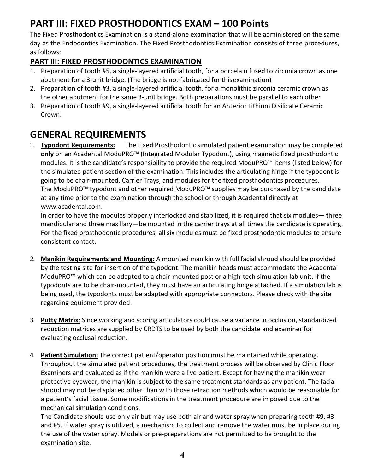## **PART III: FIXED PROSTHODONTICS EXAM – 100 Points**

The Fixed Prosthodontics Examination is a stand-alone examination that will be administered on the same day as the Endodontics Examination. The Fixed Prosthodontics Examination consists of three procedures, as follows:

## <span id="page-5-0"></span>**PART III: FIXED PROSTHODONTICS EXAMINATION**

- 1. Preparation of tooth #5, a single-layered artificial tooth, for a porcelain fused to zirconia crown as one abutment for a 3-unit bridge. (The bridge is not fabricated for thisexamination)
- <span id="page-5-2"></span>2. Preparation of tooth #3, a single-layered artificial tooth, for a monolithic zirconia ceramic crown as the other abutment for the same 3-unit bridge. Both preparations must be parallel to each other
- 3. Preparation of tooth #9, a single-layered artificial tooth for an Anterior Lithium Disilicate Ceramic Crown.

## <span id="page-5-1"></span>**GENERAL REQUIREMENTS**

1. **Typodont Requirements:** The Fixed Prosthodontic simulated patient examination may be completed **only** on an Acadental ModuPRO™ (Integrated Modular Typodont), using magnetic fixed prosthodontic modules. It is the candidate's responsibility to provide the required ModuPRO™ items (listed below) for the simulated patient section of the examination. This includes the articulating hinge if the typodont is going to be chair-mounted, Carrier Trays, and modules for the fixed prosthodontics procedures. The ModuPRO™ typodont and other required ModuPRO™ supplies may be purchased by the candidate at any time prior to the examination through the school or through Acadental directly at [www.acadental.com.](http://www.acadental.com/)

In order to have the modules properly interlocked and stabilized, it is required that six modules— three mandibular and three maxillary—be mounted in the carrier trays at all times the candidate is operating. For the fixed prosthodontic procedures, all six modules must be fixed prosthodontic modules to ensure consistent contact.

- 2. **Manikin Requirements and Mounting:** A mounted manikin with full facial shroud should be provided by the testing site for insertion of the typodont. The manikin heads must accommodate the Acadental ModuPRO™ which can be adapted to a chair-mounted post or a high-tech simulation lab unit. If the typodonts are to be chair-mounted, they must have an articulating hinge attached. If a simulation lab is being used, the typodonts must be adapted with appropriate connectors. Please check with the site regarding equipment provided.
- 3. **Putty Matrix**: Since working and scoring articulators could cause a variance in occlusion, standardized reduction matrices are supplied by CRDTS to be used by both the candidate and examiner for evaluating occlusal reduction.
- 4. **Patient Simulation:** The correct patient/operator position must be maintained while operating. Throughout the simulated patient procedures, the treatment process will be observed by Clinic Floor Examiners and evaluated as if the manikin were a live patient. Except for having the manikin wear protective eyewear, the manikin is subject to the same treatment standards as any patient. The facial shroud may not be displaced other than with those retraction methods which would be reasonable for a patient's facial tissue. Some modifications in the treatment procedure are imposed due to the mechanical simulation conditions.

The Candidate should use only air but may use both air and water spray when preparing teeth #9, #3 and #5. If water spray is utilized, a mechanism to collect and remove the water must be in place during the use of the water spray. Models or pre-preparations are not permitted to be brought to the examination site.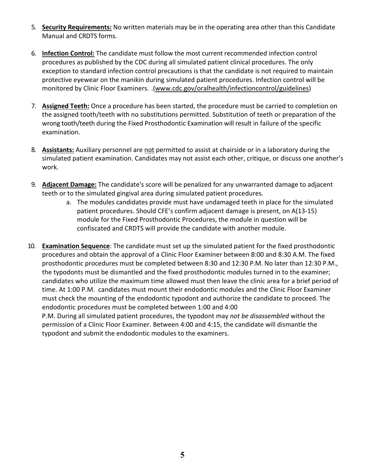- 5. **Security Requirements:** No written materials may be in the operating area other than this Candidate Manual and CRDTS forms.
- 6. **Infection Control:** The candidate must follow the most current recommended infection control procedures as published by the CDC during all simulated patient clinical procedures. The only exception to standard infection control precautions is that the candidate is not required to maintain protective eyewear on the manikin during simulated patient procedures. Infection control will be monitored by Clinic Floor Examiners. .[\(www.cdc.gov/oralhealth/infectioncontrol/guidelines\)](http://www.cdc.gov/oralhealth/infectioncontrol/guidelines))
- 7. **Assigned Teeth:** Once a procedure has been started, the procedure must be carried to completion on the assigned tooth/teeth with no substitutions permitted. Substitution of teeth or preparation of the wrong [tooth/teeth during the Fixed Prosthodontic E](http://www.cdc.gov/oralhealth/infectioncontrol/guidelines)xamination will result in failure of the specific examination.
- 8. **Assistants:** Auxiliary personnel are not permitted to assist at chairside or in a laboratory during the simulated patient examination. Candidates may not assist each other, critique, or discuss one another's work.
- 9. **Adjacent Damage:** The candidate's score will be penalized for any unwarranted damage to adjacent teeth or to the simulated gingival area during simulated patient procedures.
	- a. The modules candidates provide must have undamaged teeth in place for the simulated patient procedures. Should CFE's confirm adjacent damage is present, on A(13-15) module for the Fixed Prosthodontic Procedures, the module in question will be confiscated and CRDTS will provide the candidate with another module.
- 10. **Examination Sequence**: The candidate must set up the simulated patient for the fixed prosthodontic procedures and obtain the approval of a Clinic Floor Examiner between 8:00 and 8:30 A.M. The fixed prosthodontic procedures must be completed between 8:30 and 12:30 P.M. No later than 12:30 P.M., the typodonts must be dismantled and the fixed prosthodontic modules turned in to the examiner; candidates who utilize the maximum time allowed must then leave the clinic area for a brief period of time. At 1:00 P.M. candidates must mount their endodontic modules and the Clinic Floor Examiner must check the mounting of the endodontic typodont and authorize the candidate to proceed. The endodontic procedures must be completed between 1:00 and 4:00 P.M. During all simulated patient procedures, the typodont may *not be disassembled* without the

permission of a Clinic Floor Examiner. Between 4:00 and 4:15, the candidate will dismantle the typodont and submit the endodontic modules to the examiners.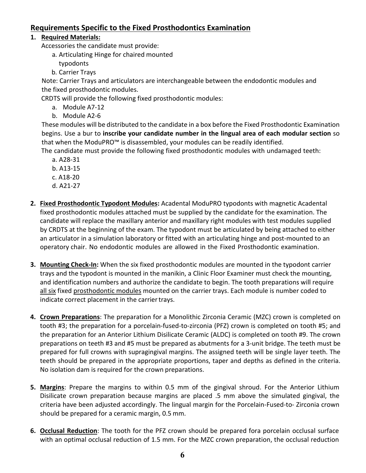### **Requirements Specific to the Fixed Prosthodontics Examination**

#### **1. Required Materials:**

Accessories the candidate must provide:

- a. Articulating Hinge for chaired mounted
	- typodonts
- b. Carrier Trays

Note: Carrier Trays and articulators are interchangeable between the endodontic modules and the fixed prosthodontic modules.

CRDTS will provide the following fixed prosthodontic modules:

- a. Module A7-12
- b. Module A2-6

These modules will be distributed to the candidate in a box before the Fixed Prosthodontic Examination begins. Use a bur to **inscribe your candidate number in the lingual area of each modular section** so that when the ModuPRO™ is disassembled, your modules can be readily identified.

The candidate must provide the following fixed prosthodontic modules with undamaged teeth:

- a. A28-31
- b. A13-15
- c. A18-20
- d. A21-27
- **2. Fixed Prosthodontic Typodont Modules:** Acadental ModuPRO typodonts with magnetic Acadental fixed prosthodontic modules attached must be supplied by the candidate for the examination. The candidate will replace the maxillary anterior and maxillary right modules with test modules supplied by CRDTS at the beginning of the exam. The typodont must be articulated by being attached to either an articulator in a simulation laboratory or fitted with an articulating hinge and post-mounted to an operatory chair. No endodontic modules are allowed in the Fixed Prosthodontic examination.
- **3. Mounting Check-In:** When the six fixed prosthodontic modules are mounted in the typodont carrier trays and the typodont is mounted in the manikin, a Clinic Floor Examiner must check the mounting, and identification numbers and authorize the candidate to begin. The tooth preparations will require all six fixed prosthodontic modules mounted on the carrier trays. Each module is number coded to indicate correct placement in the carrier trays.
- **4. Crown Preparations**: The preparation for a Monolithic Zirconia Ceramic (MZC) crown is completed on tooth #3; the preparation for a porcelain-fused-to-zirconia (PFZ) crown is completed on tooth #5; and the preparation for an Anterior Lithium Disilicate Ceramic (ALDC) is completed on tooth #9. The crown preparations on teeth #3 and #5 must be prepared as abutments for a 3-unit bridge. The teeth must be prepared for full crowns with supragingival margins. The assigned teeth will be single layer teeth. The teeth should be prepared in the appropriate proportions, taper and depths as defined in the criteria. No isolation dam is required for the crown preparations.
- **5. Margins**: Prepare the margins to within 0.5 mm of the gingival shroud. For the Anterior Lithium Disilicate crown preparation because margins are placed .5 mm above the simulated gingival, the criteria have been adjusted accordingly. The lingual margin for the Porcelain-Fused-to- Zirconia crown should be prepared for a ceramic margin, 0.5 mm.
- **6. Occlusal Reduction**: The tooth for the PFZ crown should be prepared fora porcelain occlusal surface with an optimal occlusal reduction of 1.5 mm. For the MZC crown preparation, the occlusal reduction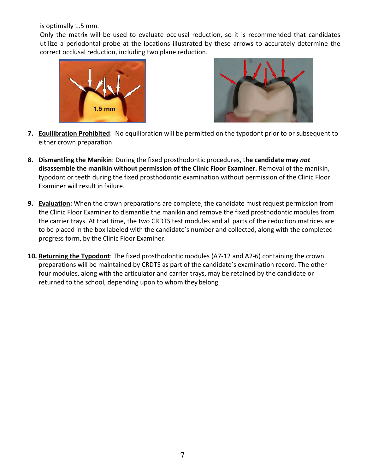is optimally 1.5 mm.

Only the matrix will be used to evaluate occlusal reduction, so it is recommended that candidates utilize a periodontal probe at the locations illustrated by these arrows to accurately determine the correct occlusal reduction, including two plane reduction.





- **7. Equilibration Prohibited**: No equilibration will be permitted on the typodont prior to or subsequent to either crown preparation.
- **8. Dismantling the Manikin**: During the fixed prosthodontic procedures, t**he candidate may** *not*  **disassemble the manikin without permission of the Clinic Floor Examiner.** Removal of the manikin, typodont or teeth during the fixed prosthodontic examination without permission of the Clinic Floor Examiner will result in failure.
- **9. Evaluation:** When the crown preparations are complete, the candidate must request permission from the Clinic Floor Examiner to dismantle the manikin and remove the fixed prosthodontic modules from the carrier trays. At that time, the two CRDTS test modules and all parts of the reduction matrices are to be placed in the box labeled with the candidate's number and collected, along with the completed progress form, by the Clinic Floor Examiner.
- **10. Returning the Typodont**: The fixed prosthodontic modules (A7-12 and A2-6) containing the crown preparations will be maintained by CRDTS as part of the candidate's examination record. The other four modules, along with the articulator and carrier trays, may be retained by the candidate or returned to the school, depending upon to whom they belong.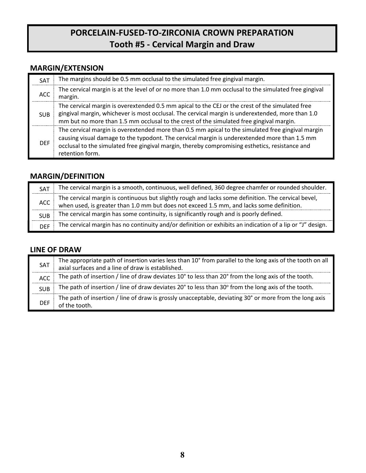## **PORCELAIN-FUSED-TO-ZIRCONIA CROWN PREPARATION Tooth #5 - Cervical Margin and Draw**

## **MARGIN/EXTENSION**

| SAT        | The margins should be 0.5 mm occlusal to the simulated free gingival margin.                                                                                                                                                                                                                                           |
|------------|------------------------------------------------------------------------------------------------------------------------------------------------------------------------------------------------------------------------------------------------------------------------------------------------------------------------|
| <b>ACC</b> | The cervical margin is at the level of or no more than 1.0 mm occlusal to the simulated free gingival<br>margin.                                                                                                                                                                                                       |
| <b>SUB</b> | The cervical margin is overextended 0.5 mm apical to the CEJ or the crest of the simulated free<br>gingival margin, whichever is most occlusal. The cervical margin is underextended, more than 1.0<br>mm but no more than 1.5 mm occlusal to the crest of the simulated free gingival margin.                         |
| <b>DEF</b> | The cervical margin is overextended more than 0.5 mm apical to the simulated free gingival margin<br>causing visual damage to the typodont. The cervical margin is underextended more than 1.5 mm<br>occlusal to the simulated free gingival margin, thereby compromising esthetics, resistance and<br>retention form. |

## **MARGIN/DEFINITION**

| <b>SAT</b>       | The cervical margin is a smooth, continuous, well defined, 360 degree chamfer or rounded shoulder.                                                                                              |
|------------------|-------------------------------------------------------------------------------------------------------------------------------------------------------------------------------------------------|
| ACC <sub>2</sub> | The cervical margin is continuous but slightly rough and lacks some definition. The cervical bevel,<br>when used, is greater than 1.0 mm but does not exceed 1.5 mm, and lacks some definition. |
| <b>SUB</b>       | The cervical margin has some continuity, is significantly rough and is poorly defined.                                                                                                          |
| <b>DFF</b>       | The cervical margin has no continuity and/or definition or exhibits an indication of a lip or "J" design.                                                                                       |

## **LINE OF DRAW**

| <b>SAT</b> | The appropriate path of insertion varies less than 10° from parallel to the long axis of the tooth on all axial surfaces and a line of draw is established. |
|------------|-------------------------------------------------------------------------------------------------------------------------------------------------------------|
| <b>ACC</b> | The path of insertion / line of draw deviates 10° to less than 20° from the long axis of the tooth.                                                         |
| <b>SUB</b> | The path of insertion / line of draw deviates 20° to less than 30° from the long axis of the tooth.                                                         |
| DEF        | The path of insertion / line of draw is grossly unacceptable, deviating 30° or more from the long axis<br>of the tooth.                                     |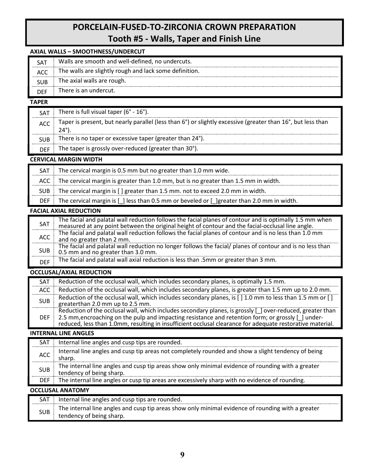## **PORCELAIN-FUSED-TO-ZIRCONIA CROWN PREPARATION Tooth #5 - Walls, Taper and Finish Line**

#### **AXIAL WALLS – SMOOTHNESS/UNDERCUT**

|            | There is an undercut.                                  |
|------------|--------------------------------------------------------|
|            | The axial walls are rough.                             |
| <b>ACC</b> | The walls are slightly rough and lack some definition. |
| SA.        | Walls are smooth and well-defined, no undercuts.       |

#### **TAPER**

| <b>SAT</b> | There is full visual taper ( $6^\circ$ - $16^\circ$ ).                                                              |
|------------|---------------------------------------------------------------------------------------------------------------------|
| ACC        | Taper is present, but nearly parallel (less than 6°) or slightly excessive (greater than 16°, but less than<br>24°) |
| <b>SUB</b> | There is no taper or excessive taper (greater than 24°).                                                            |
| <b>DFF</b> | The taper is grossly over-reduced (greater than 30°).                                                               |

#### **CERVICAL MARGIN WIDTH**

| SAT                           | The cervical margin is 0.5 mm but no greater than 1.0 mm wide.                                  |
|-------------------------------|-------------------------------------------------------------------------------------------------|
|                               | ACC The cervical margin is greater than 1.0 mm, but is no greater than 1.5 mm in width.         |
| <b>SUB</b>                    | The cervical margin is [] greater than 1.5 mm. not to exceed 2.0 mm in width.                   |
| DEF                           | The cervical margin is $[ ]$ less than 0.5 mm or beveled or $[ ]$ greater than 2.0 mm in width. |
| <b>FACIAL AXIAL REDUCTION</b> |                                                                                                 |

#### **FACIAL AXIAL REDUCTION**

| SAT        | The facial and palatal wall reduction follows the facial planes of contour and is optimally 1.5 mm when<br>measured at any point between the original height of contour and the facial-occlusal line angle. |
|------------|-------------------------------------------------------------------------------------------------------------------------------------------------------------------------------------------------------------|
| ACC        | The facial and palatal wall reduction follows the facial planes of contour and is no less than 1.0 mm<br>and no greater than 2 mm.                                                                          |
| <b>SUB</b> | The facial and palatal wall reduction no longer follows the facial/ planes of contour and is no less than<br>0.5 mm and no greater than 3.0 mm.                                                             |
| <b>DFF</b> | The facial and palatal wall axial reduction is less than .5mm or greater than 3 mm.                                                                                                                         |

#### **OCCLUSAL/AXIAL REDUCTION**

| SAT        | Reduction of the occlusal wall, which includes secondary planes, is optimally 1.5 mm.                                                                                                                                                                                                                                         |
|------------|-------------------------------------------------------------------------------------------------------------------------------------------------------------------------------------------------------------------------------------------------------------------------------------------------------------------------------|
| ACC        | Reduction of the occlusal wall, which includes secondary planes, is greater than 1.5 mm up to 2.0 mm.                                                                                                                                                                                                                         |
| <b>SUB</b> | Reduction of the occlusal wall, which includes secondary planes, is [ ] 1.0 mm to less than 1.5 mm or [ ]<br>greaterthan 2.0 mm up to 2.5 mm.                                                                                                                                                                                 |
| DEF.       | Reduction of the occlusal wall, which includes secondary planes, is grossly [ ] over-reduced, greater than<br>2.5 mm, encroaching on the pulp and impacting resistance and retention form; or grossly [ ] under-<br>reduced, less than 1.0mm, resulting in insufficient occlusal clearance for adequate restorative material. |

#### **INTERNAL LINE ANGLES**

| SAT                     | Internal line angles and cusp tips are rounded.                                                                               |
|-------------------------|-------------------------------------------------------------------------------------------------------------------------------|
| <b>ACC</b>              | Internal line angles and cusp tip areas not completely rounded and show a slight tendency of being<br>sharp.                  |
| <b>SUB</b>              | The internal line angles and cusp tip areas show only minimal evidence of rounding with a greater<br>tendency of being sharp. |
| <b>DEF</b>              | The internal line angles or cusp tip areas are excessively sharp with no evidence of rounding.                                |
| <b>OCCLUSAL ANATOMY</b> |                                                                                                                               |
| SAT                     | Internal line angles and cusp tips are rounded.                                                                               |
|                         |                                                                                                                               |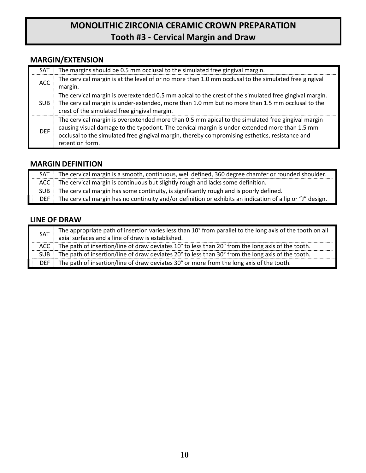## **MONOLITHIC ZIRCONIA CERAMIC CROWN PREPARATION Tooth #3 - Cervical Margin and Draw**

## **MARGIN/EXTENSION**

| <b>SAT</b> | The margins should be 0.5 mm occlusal to the simulated free gingival margin.                                                                                                                                                                                                                                            |
|------------|-------------------------------------------------------------------------------------------------------------------------------------------------------------------------------------------------------------------------------------------------------------------------------------------------------------------------|
| <b>ACC</b> | The cervical margin is at the level of or no more than 1.0 mm occlusal to the simulated free gingival<br>margin.                                                                                                                                                                                                        |
| SUB.       | The cervical margin is overextended 0.5 mm apical to the crest of the simulated free gingival margin.<br>The cervical margin is under-extended, more than 1.0 mm but no more than 1.5 mm occlusal to the<br>crest of the simulated free gingival margin.                                                                |
| <b>DFF</b> | The cervical margin is overextended more than 0.5 mm apical to the simulated free gingival margin<br>causing visual damage to the typodont. The cervical margin is under-extended more than 1.5 mm<br>occlusal to the simulated free gingival margin, thereby compromising esthetics, resistance and<br>retention form. |

## **MARGIN DEFINITION**

| SAT : | The cervical margin is a smooth, continuous, well defined, 360 degree chamfer or rounded shoulder.        |
|-------|-----------------------------------------------------------------------------------------------------------|
| ACC   | The cervical margin is continuous but slightly rough and lacks some definition.                           |
| SUB 1 | The cervical margin has some continuity, is significantly rough and is poorly defined.                    |
| DFF 1 | The cervical margin has no continuity and/or definition or exhibits an indication of a lip or "J" design. |

## **LINE OF DRAW**

| <b>SAT</b> | The appropriate path of insertion varies less than 10° from parallel to the long axis of the tooth on all<br>axial surfaces and a line of draw is established. |
|------------|----------------------------------------------------------------------------------------------------------------------------------------------------------------|
| ACC        | The path of insertion/line of draw deviates 10° to less than 20° from the long axis of the tooth.                                                              |
| SUB.       | The path of insertion/line of draw deviates 20° to less than 30° from the long axis of the tooth.                                                              |
| DEF .      | The path of insertion/line of draw deviates 30° or more from the long axis of the tooth.                                                                       |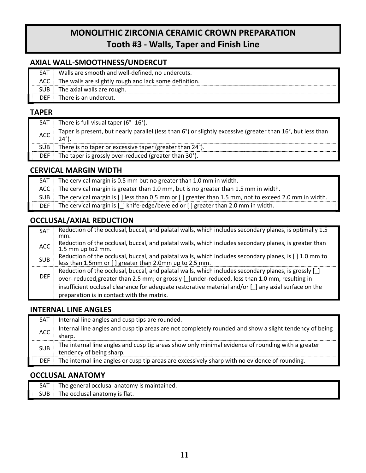## **MONOLITHIC ZIRCONIA CERAMIC CROWN PREPARATION Tooth #3 - Walls, Taper and Finish Line**

### **AXIAL WALL-SMOOTHNESS/UNDERCUT**

| SΑ™ | Walls are smooth and well-defined, no undercuts.       |
|-----|--------------------------------------------------------|
|     | The walls are slightly rough and lack some definition. |
| SUB | The axial walls are rough.                             |
| DFF | There is an undercut.                                  |

#### **TAPER**

| SAT        | There is full visual taper (6°-16°).                                                                                |
|------------|---------------------------------------------------------------------------------------------------------------------|
| <b>ACC</b> | Taper is present, but nearly parallel (less than 6°) or slightly excessive (greater than 16°, but less than<br>24°) |
| <b>SUB</b> | There is no taper or excessive taper (greater than 24°).                                                            |
| <b>DEF</b> | The taper is grossly over-reduced (greater than 30°).                                                               |

### **CERVICAL MARGIN WIDTH**

| SAT   | The cervical margin is 0.5 mm but no greater than 1.0 mm in width.                                   |  |
|-------|------------------------------------------------------------------------------------------------------|--|
|       | ACC $\parallel$ The cervical margin is greater than 1.0 mm, but is no greater than 1.5 mm in width.  |  |
| SUB i | The cervical margin is [] less than 0.5 mm or [] greater than 1.5 mm, not to exceed 2.0 mm in width. |  |
|       | DEF The cervical margin is $[ ]$ knife-edge/beveled or $[ ]$ greater than 2.0 mm in width.           |  |

## **OCCLUSAL/AXIAL REDUCTION**

| <b>SAT</b> | Reduction of the occlusal, buccal, and palatal walls, which includes secondary planes, is optimally 1.5<br>mm.                                                                                                                                                                                                                                                  |
|------------|-----------------------------------------------------------------------------------------------------------------------------------------------------------------------------------------------------------------------------------------------------------------------------------------------------------------------------------------------------------------|
| ACC        | Reduction of the occlusal, buccal, and palatal walls, which includes secondary planes, is greater than<br>1.5 mm up to2 mm.                                                                                                                                                                                                                                     |
| <b>SUB</b> | Reduction of the occlusal, buccal, and palatal walls, which includes secondary planes, is [ ] 1.0 mm to<br>less than 1.5mm or [ ] greater than 2.0mm up to 2.5 mm.                                                                                                                                                                                              |
| <b>DEF</b> | Reduction of the occlusal, buccal, and palatal walls, which includes secondary planes, is grossly [ ]<br>over- reduced, greater than 2.5 mm; or grossly [_]under-reduced, less than 1.0 mm, resulting in<br>insufficient occlusal clearance for adequate restorative material and/or [ ] any axial surface on the<br>preparation is in contact with the matrix. |

## **INTERNAL LINE ANGLES**

| <b>SAT</b> | Internal line angles and cusp tips are rounded.                                                                               |
|------------|-------------------------------------------------------------------------------------------------------------------------------|
| <b>ACC</b> | Internal line angles and cusp tip areas are not completely rounded and show a slight tendency of being<br>sharp.              |
| <b>SUB</b> | The internal line angles and cusp tip areas show only minimal evidence of rounding with a greater<br>tendency of being sharp. |
| <b>DEF</b> | The internal line angles or cusp tip areas are excessively sharp with no evidence of rounding.                                |

## **OCCLUSAL ANATOMY**

| $\overline{\phantom{a}}$<br>SAI | . occlusal anatomv<br>maintained.<br>ne<br>eeneral : |
|---------------------------------|------------------------------------------------------|
| $\cdot$ . $\sim$<br>SUB         | rom<br>ne<br>nv<br>.<br>ાldı.                        |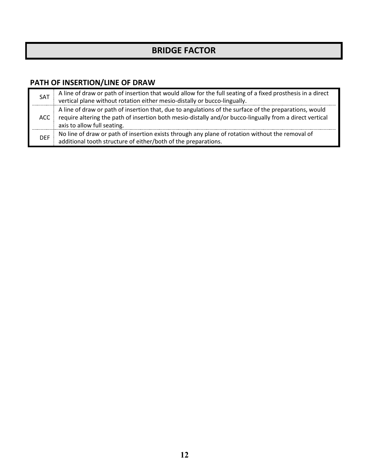## **BRIDGE FACTOR**

## **PATH OF INSERTION/LINE OF DRAW**

| <b>SAT</b> | A line of draw or path of insertion that would allow for the full seating of a fixed prosthesis in a direct vertical plane without rotation either mesio-distally or bucco-lingually.                                                             |
|------------|---------------------------------------------------------------------------------------------------------------------------------------------------------------------------------------------------------------------------------------------------|
| ACC        | A line of draw or path of insertion that, due to angulations of the surface of the preparations, would<br>require altering the path of insertion both mesio-distally and/or bucco-lingually from a direct vertical<br>axis to allow full seating. |
| <b>DEF</b> | No line of draw or path of insertion exists through any plane of rotation without the removal of<br>additional tooth structure of either/both of the preparations.                                                                                |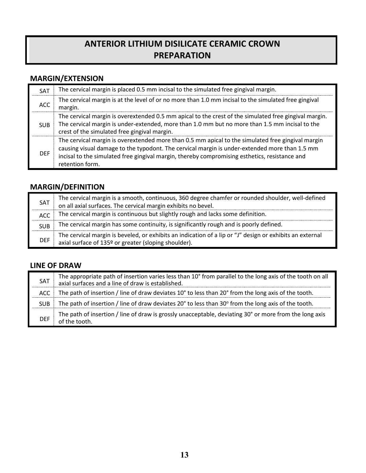## **ANTERIOR LITHIUM DISILICATE CERAMIC CROWN PREPARATION**

## **MARGIN/EXTENSION**

| SAT        | The cervical margin is placed 0.5 mm incisal to the simulated free gingival margin.                                                                                                                                                                                                                                    |
|------------|------------------------------------------------------------------------------------------------------------------------------------------------------------------------------------------------------------------------------------------------------------------------------------------------------------------------|
| ACC        | The cervical margin is at the level of or no more than 1.0 mm incisal to the simulated free gingival<br>margin.                                                                                                                                                                                                        |
| <b>SUB</b> | The cervical margin is overextended 0.5 mm apical to the crest of the simulated free gingival margin.<br>The cervical margin is under-extended, more than 1.0 mm but no more than 1.5 mm incisal to the<br>crest of the simulated free gingival margin.                                                                |
| <b>DFF</b> | The cervical margin is overextended more than 0.5 mm apical to the simulated free gingival margin<br>causing visual damage to the typodont. The cervical margin is under-extended more than 1.5 mm<br>incisal to the simulated free gingival margin, thereby compromising esthetics, resistance and<br>retention form. |

## **MARGIN/DEFINITION**

| <b>SAT</b> | The cervical margin is a smooth, continuous, 360 degree chamfer or rounded shoulder, well-defined<br>on all axial surfaces. The cervical margin exhibits no bevel. |
|------------|--------------------------------------------------------------------------------------------------------------------------------------------------------------------|
| ACC.       | The cervical margin is continuous but slightly rough and lacks some definition.                                                                                    |
| <b>SUB</b> | The cervical margin has some continuity, is significantly rough and is poorly defined.                                                                             |
| <b>DEF</b> | The cervical margin is beveled, or exhibits an indication of a lip or "J" design or exhibits an external<br>axial surface of 135º or greater (sloping shoulder).   |

### **LINE OF DRAW**

| SAT        | The appropriate path of insertion varies less than 10° from parallel to the long axis of the tooth on all<br>axial surfaces and a line of draw is established. |
|------------|----------------------------------------------------------------------------------------------------------------------------------------------------------------|
| ACC        | The path of insertion / line of draw deviates 10° to less than 20° from the long axis of the tooth.                                                            |
| <b>SUB</b> | The path of insertion / line of draw deviates 20° to less than 30° from the long axis of the tooth.                                                            |
| <b>DEF</b> | The path of insertion / line of draw is grossly unacceptable, deviating 30° or more from the long axis<br>of the tooth.                                        |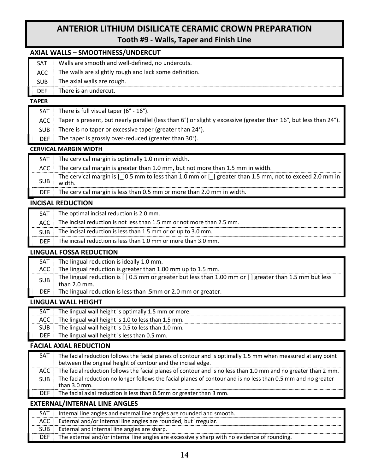## **ANTERIOR LITHIUM DISILICATE CERAMIC CROWN PREPARATION Tooth #9 - Walls, Taper and Finish Line**

### **AXIAL WALLS – SMOOTHNESS/UNDERCUT**

|     | Walls are smooth and well-defined, no undercuts.       |
|-----|--------------------------------------------------------|
| ACC | The walls are slightly rough and lack some definition. |
| SUB | The axial walls are rough.                             |
|     | There is an undercut.                                  |
|     |                                                        |

#### **TAPER**

| <b>SAT</b> | There is full visual taper $(6^{\circ} - 16^{\circ})$ .                                                           |
|------------|-------------------------------------------------------------------------------------------------------------------|
| ACC.       | Taper is present, but nearly parallel (less than 6°) or slightly excessive (greater than 16°, but less than 24°). |
| <b>SUB</b> | There is no taper or excessive taper (greater than 24°).                                                          |
| <b>DEF</b> | The taper is grossly over-reduced (greater than 30°).                                                             |
|            | <b>CERVICAL MARGIN WIDTH</b>                                                                                      |
| <b>SAT</b> | The cervical margin is optimally 1.0 mm in width.                                                                 |
|            | The cervical margin is greater than 1.0 mm, but not more than 1.5 mm in width.                                    |

| The cervical margin is $\lceil 10.5 \rceil$ mm to less than 1.0 mm or $\lceil 1 \rceil$<br>I greater than 1.5 mm, not to exceed 2.0 mm in |
|-------------------------------------------------------------------------------------------------------------------------------------------|
|                                                                                                                                           |

DEF The cervical margin is less than 0.5 mm or more than 2.0 mm in width.

#### **INCISAL REDUCTION**

| SAT        | The optimal incisal reduction is 2.0 mm.                               |
|------------|------------------------------------------------------------------------|
| ACC        | The incisal reduction is not less than 1.5 mm or not more than 2.5 mm. |
| <b>SUB</b> | The incisal reduction is less than 1.5 mm or or up to 3.0 mm.          |
| DEE        | The incisal reduction is less than 1.0 mm or more than 3.0 mm.         |

#### **LINGUAL FOSSA REDUCTION**

| SAT        | The lingual reduction is ideally 1.0 mm.                                                                                 |
|------------|--------------------------------------------------------------------------------------------------------------------------|
| ACC        | The lingual reduction is greater than 1.00 mm up to 1.5 mm.                                                              |
| <b>SUB</b> | The lingual reduction is [] 0.5 mm or greater but less than 1.00 mm or [] greater than 1.5 mm but less<br>than $2.0$ mm. |
| DEF        | The lingual reduction is less than .5mm or 2.0 mm or greater.                                                            |
|            |                                                                                                                          |

#### **LINGUAL WALL HEIGHT**

|     | The lingual wall height is optimally 1.5 mm or more. |
|-----|------------------------------------------------------|
| ACC | The lingual wall height is 1.0 to less than 1.5 mm.  |
|     | The lingual wall height is 0.5 to less than 1.0 mm.  |
| DFF | The lingual wall height is less than 0.5 mm.         |

#### **FACIAL AXIAL REDUCTION**

| SAT        | The facial reduction follows the facial planes of contour and is optimally 1.5 mm when measured at any point<br>between the original height of contour and the incisal edge. |
|------------|------------------------------------------------------------------------------------------------------------------------------------------------------------------------------|
| ACC.       | The facial reduction follows the facial planes of contour and is no less than 1.0 mm and no greater than 2 mm.                                                               |
| <b>SUB</b> | The facial reduction no longer follows the facial planes of contour and is no less than 0.5 mm and no greater<br>than $3.0$ mm.                                              |
| DEF.       | The facial axial reduction is less than 0.5mm or greater than 3 mm.                                                                                                          |

#### **EXTERNAL/INTERNAL LINE ANGLES**

| <b>SAT</b> | Internal line angles and external line angles are rounded and smooth.                        |
|------------|----------------------------------------------------------------------------------------------|
| ACC        | External and/or internal line angles are rounded, but irregular.                             |
| SUB.       | External and internal line angles are sharp.                                                 |
| DEF        | The external and/or internal line angles are excessively sharp with no evidence of rounding. |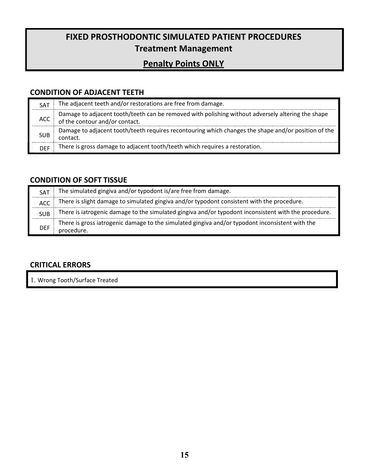## **FIXED PROSTHODONTIC SIMULATED PATIENT PROCEDURES Treatment Management**

## **Penalty Points ONLY**

## **CONDITION OF ADJACENT TEETH**

| <b>SAT</b> | The adjacent teeth and/or restorations are free from damage.                                                                        |
|------------|-------------------------------------------------------------------------------------------------------------------------------------|
| ACC        | Damage to adjacent tooth/teeth can be removed with polishing without adversely altering the shape<br>of the contour and/or contact. |
| <b>SUB</b> | Damage to adjacent tooth/teeth requires recontouring which changes the shape and/or position of the<br>contact.                     |
| <b>DFF</b> | There is gross damage to adjacent tooth/teeth which requires a restoration.                                                         |

## **CONDITION OF SOFT TISSUE**

| SAT        | The simulated gingiva and/or typodont is/are free from damage.                                                |
|------------|---------------------------------------------------------------------------------------------------------------|
| <b>ACC</b> | There is slight damage to simulated gingiva and/or typodont consistent with the procedure.                    |
| <b>SUB</b> | There is iatrogenic damage to the simulated gingiva and/or typodont inconsistent with the procedure.          |
| DEF        | There is gross iatrogenic damage to the simulated gingiva and/or typodont inconsistent with the<br>procedure. |

## **CRITICAL ERRORS**

1. Wrong Tooth/Surface Treated